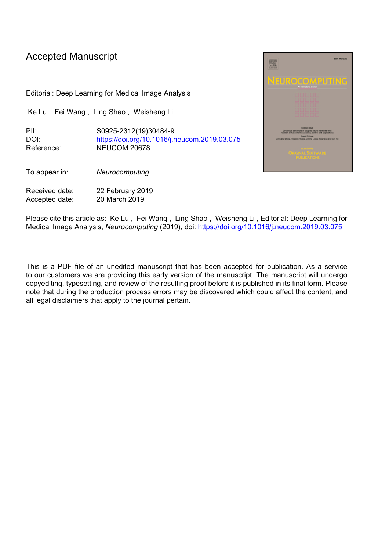# Accepted Manuscript

Editorial: Deep Learning for Medical Image Analysis

Ke Lu , Fei Wang , Ling Shao , Weisheng Li

PII: S0925-2312(19)30484-9 DOI: <https://doi.org/10.1016/j.neucom.2019.03.075> Reference: NEUCOM 20678

To appear in: *Neurocomputing*

Received date: 22 February 2019 Accepted date: 20 March 2019



Please cite this article as: Ke Lu , Fei Wang , Ling Shao , Weisheng Li , Editorial: Deep Learning for Medical Image Analysis, *Neurocomputing* (2019), doi: <https://doi.org/10.1016/j.neucom.2019.03.075>

This is a PDF file of an unedited manuscript that has been accepted for publication. As a service to our customers we are providing this early version of the manuscript. The manuscript will undergo copyediting, typesetting, and review of the resulting proof before it is published in its final form. Please note that during the production process errors may be discovered which could affect the content, and all legal disclaimers that apply to the journal pertain.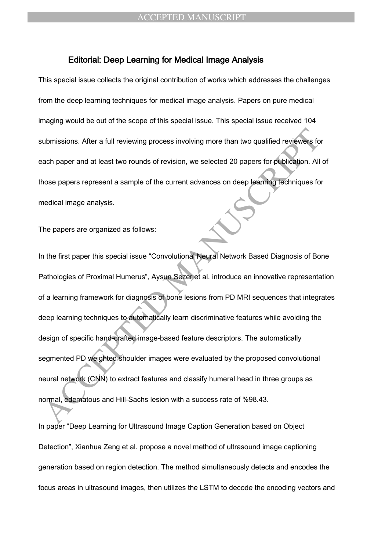#### Editorial: Deep Learning for Medical Image Analysis

This special issue collects the original contribution of works which addresses the challenges from the deep learning techniques for medical image analysis. Papers on pure medical imaging would be out of the scope of this special issue. This special issue received 104 submissions. After a full reviewing process involving more than two qualified reviewers for each paper and at least two rounds of revision, we selected 20 papers for publication. All of those papers represent a sample of the current advances on deep learning techniques for medical image analysis.

The papers are organized as follows:

ubmissions. After a full reviewing process involving more than two qualified reviewers for<br>ach paper and at least two rounds of revision, we selected 20 papers for publication. All<br>nose papers represent a sample of the cur In the first paper this special issue "Convolutional Neural Network Based Diagnosis of Bone Pathologies of Proximal Humerus", Aysun Sezer et al. introduce an innovative representation of a learning framework for diagnosis of bone lesions from PD MRI sequences that integrates deep learning techniques to automatically learn discriminative features while avoiding the design of specific hand-crafted image-based feature descriptors. The automatically segmented PD weighted shoulder images were evaluated by the proposed convolutional neural network (CNN) to extract features and classify humeral head in three groups as normal, edematous and Hill-Sachs lesion with a success rate of %98.43.

In paper "Deep Learning for Ultrasound Image Caption Generation based on Object Detection", Xianhua Zeng et al. propose a novel method of ultrasound image captioning generation based on region detection. The method simultaneously detects and encodes the focus areas in ultrasound images, then utilizes the LSTM to decode the encoding vectors and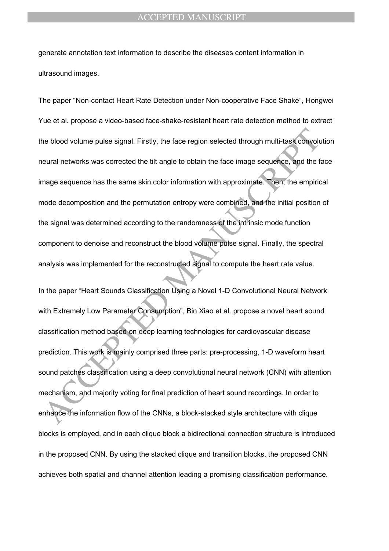generate annotation text information to describe the diseases content information in ultrasound images.

The blood volume pulse signal. Firstly, the face region selected through multi-task convolutional networks was corrected the tilt angle to obtain the face image sequence, and the find mage sequence has the same skin color The paper "Non-contact Heart Rate Detection under Non-cooperative Face Shake", Hongwei Yue et al. propose a video-based face-shake-resistant heart rate detection method to extract the blood volume pulse signal. Firstly, the face region selected through multi-task convolution neural networks was corrected the tilt angle to obtain the face image sequence, and the face image sequence has the same skin color information with approximate. Then, the empirical mode decomposition and the permutation entropy were combined, and the initial position of the signal was determined according to the randomness of the intrinsic mode function component to denoise and reconstruct the blood volume pulse signal. Finally, the spectral analysis was implemented for the reconstructed signal to compute the heart rate value.

In the paper "Heart Sounds Classification Using a Novel 1-D Convolutional Neural Network with Extremely Low Parameter Consumption", Bin Xiao et al. propose a novel heart sound classification method based on deep learning technologies for cardiovascular disease prediction. This work is mainly comprised three parts: pre-processing, 1-D waveform heart sound patches classification using a deep convolutional neural network (CNN) with attention mechanism, and majority voting for final prediction of heart sound recordings. In order to enhance the information flow of the CNNs, a block-stacked style architecture with clique blocks is employed, and in each clique block a bidirectional connection structure is introduced in the proposed CNN. By using the stacked clique and transition blocks, the proposed CNN achieves both spatial and channel attention leading a promising classification performance.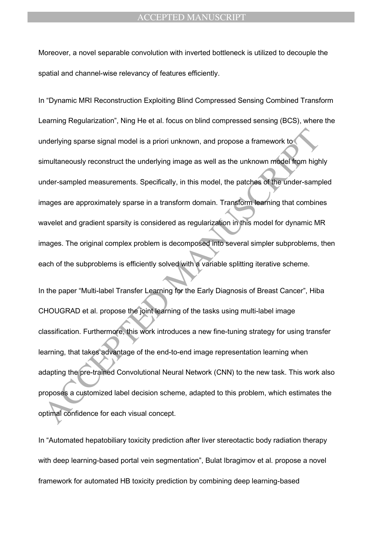Moreover, a novel separable convolution with inverted bottleneck is utilized to decouple the spatial and channel-wise relevancy of features efficiently.

mderlying sparse signal model is a priori unknown, and propose a framework to<br>
imultaneously reconstruct the underlying image as well as the unknown model from high<br>
inder-sampled measurements. Specifically, in this model, In "Dynamic MRI Reconstruction Exploiting Blind Compressed Sensing Combined Transform Learning Regularization", Ning He et al. focus on blind compressed sensing (BCS), where the underlying sparse signal model is a priori unknown, and propose a framework to simultaneously reconstruct the underlying image as well as the unknown model from highly under-sampled measurements. Specifically, in this model, the patches of the under-sampled images are approximately sparse in a transform domain. Transform learning that combines wavelet and gradient sparsity is considered as regularization in this model for dynamic MR images. The original complex problem is decomposed into several simpler subproblems, then each of the subproblems is efficiently solved with a variable splitting iterative scheme.

In the paper "Multi-label Transfer Learning for the Early Diagnosis of Breast Cancer", Hiba CHOUGRAD et al. propose the joint learning of the tasks using multi-label image classification. Furthermore, this work introduces a new fine-tuning strategy for using transfer learning, that takes advantage of the end-to-end image representation learning when adapting the pre-trained Convolutional Neural Network (CNN) to the new task. This work also proposes a customized label decision scheme, adapted to this problem, which estimates the optimal confidence for each visual concept.

In "Automated hepatobiliary toxicity prediction after liver stereotactic body radiation therapy with deep learning-based portal vein segmentation", Bulat Ibragimov et al. propose a novel framework for automated HB toxicity prediction by combining deep learning-based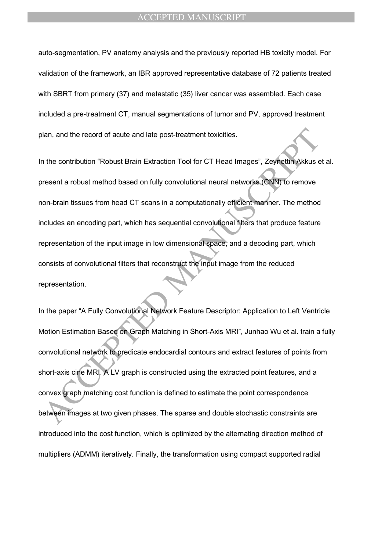auto-segmentation, PV anatomy analysis and the previously reported HB toxicity model. For validation of the framework, an IBR approved representative database of 72 patients treated with SBRT from primary (37) and metastatic (35) liver cancer was assembled. Each case included a pre-treatment CT, manual segmentations of tumor and PV, approved treatment plan, and the record of acute and late post-treatment toxicities.

Alan, and the record of acute and late post-treatment toxicities.<br>
The contribution "Robust Brain Extraction Tool for CT Head Images", Zeynettin Akkus e<br>
resent a robust method based on fully convolutional neural networks In the contribution "Robust Brain Extraction Tool for CT Head Images", Zeynettin Akkus et al. present a robust method based on fully convolutional neural networks (CNN) to remove non-brain tissues from head CT scans in a computationally efficient manner. The method includes an encoding part, which has sequential convolutional filters that produce feature representation of the input image in low dimensional space, and a decoding part, which consists of convolutional filters that reconstruct the input image from the reduced representation.

In the paper "A Fully Convolutional Network Feature Descriptor: Application to Left Ventricle Motion Estimation Based on Graph Matching in Short-Axis MRI", Junhao Wu et al. train a fully convolutional network to predicate endocardial contours and extract features of points from short-axis cine MRI. A LV graph is constructed using the extracted point features, and a convex graph matching cost function is defined to estimate the point correspondence between images at two given phases. The sparse and double stochastic constraints are introduced into the cost function, which is optimized by the alternating direction method of multipliers (ADMM) iteratively. Finally, the transformation using compact supported radial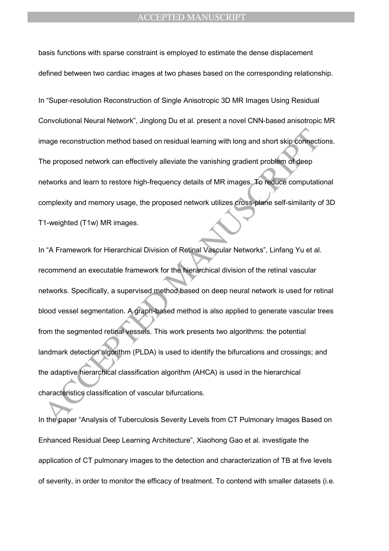basis functions with sparse constraint is employed to estimate the dense displacement defined between two cardiac images at two phases based on the corresponding relationship.

In "Super-resolution Reconstruction of Single Anisotropic 3D MR Images Using Residual Convolutional Neural Network", Jinglong Du et al. present a novel CNN-based anisotropic MR image reconstruction method based on residual learning with long and short skip connections. The proposed network can effectively alleviate the vanishing gradient problem of deep networks and learn to restore high-frequency details of MR images. To reduce computational complexity and memory usage, the proposed network utilizes cross-plane self-similarity of 3D T1-weighted (T1w) MR images.

mage reconstruction method based on residual learning with long and short skip connective proposed network can effectively alleviate the vanishing gradient problem of deep<br>the proposed network can effectively alleviate the In "A Framework for Hierarchical Division of Retinal Vascular Networks", Linfang Yu et al. recommend an executable framework for the hierarchical division of the retinal vascular networks. Specifically, a supervised method based on deep neural network is used for retinal blood vessel segmentation. A graph-based method is also applied to generate vascular trees from the segmented retinal vessels. This work presents two algorithms: the potential landmark detection algorithm (PLDA) is used to identify the bifurcations and crossings; and the adaptive hierarchical classification algorithm (AHCA) is used in the hierarchical characteristics classification of vascular bifurcations.

In the paper "Analysis of Tuberculosis Severity Levels from CT Pulmonary Images Based on Enhanced Residual Deep Learning Architecture", Xiaohong Gao et al. investigate the application of CT pulmonary images to the detection and characterization of TB at five levels of severity, in order to monitor the efficacy of treatment. To contend with smaller datasets (i.e.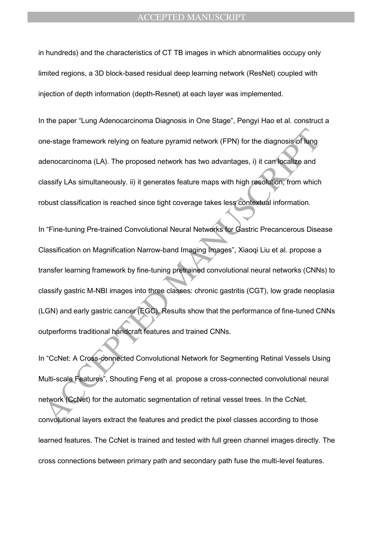in hundreds) and the characteristics of CT TB images in which abnormalities occupy only limited regions, a 3D block-based residual deep learning network (ResNet) coupled with injection of depth information (depth-Resnet) at each layer was implemented.

In the paper "Lung Adenocarcinoma Diagnosis in One Stage", Pengyi Hao et al. construct a one-stage framework relying on feature pyramid network (FPN) for the diagnosis of lung adenocarcinoma (LA). The proposed network has two advantages, i) it can localize and classify LAs simultaneously. ii) it generates feature maps with high resolution, from which robust classification is reached since tight coverage takes less contextual information.

ne-stage framework relying on feature pyramid network (FPN) for the diagnosis of lung<br>denocarcinoma (LA). The proposed network has two advantages, i) it can localize and<br>lassify LAs simultaneously. ii) it generates feature In "Fine-tuning Pre-trained Convolutional Neural Networks for Gastric Precancerous Disease Classification on Magnification Narrow-band Imaging Images", Xiaoqi Liu et al. propose a transfer learning framework by fine-tuning pretrained convolutional neural networks (CNNs) to classify gastric M-NBI images into three classes: chronic gastritis (CGT), low grade neoplasia (LGN) and early gastric cancer (EGC). Results show that the performance of fine-tuned CNNs outperforms traditional handcraft features and trained CNNs.

In "CcNet: A Cross-connected Convolutional Network for Segmenting Retinal Vessels Using Multi-scale Features", Shouting Feng et al. propose a cross-connected convolutional neural network (CcNet) for the automatic segmentation of retinal vessel trees. In the CcNet, convolutional layers extract the features and predict the pixel classes according to those learned features. The CcNet is trained and tested with full green channel images directly. The cross connections between primary path and secondary path fuse the multi-level features.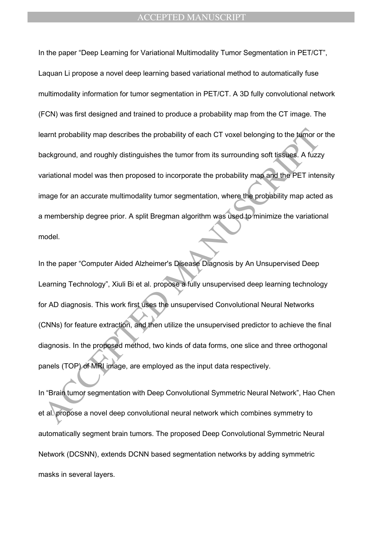earnt probability map describes the probability of each CT voxel belonging to the lumor of ackground, and roughly distinguishes the tumor from its surrounding soft tissues. A fuzz ariational model was then proposed to inco In the paper "Deep Learning for Variational Multimodality Tumor Segmentation in PET/CT", Laquan Li propose a novel deep learning based variational method to automatically fuse multimodality information for tumor segmentation in PET/CT. A 3D fully convolutional network (FCN) was first designed and trained to produce a probability map from the CT image. The learnt probability map describes the probability of each CT voxel belonging to the tumor or the background, and roughly distinguishes the tumor from its surrounding soft tissues. A fuzzy variational model was then proposed to incorporate the probability map and the PET intensity image for an accurate multimodality tumor segmentation, where the probability map acted as a membership degree prior. A split Bregman algorithm was used to minimize the variational model.

In the paper "Computer Aided Alzheimer's Disease Diagnosis by An Unsupervised Deep Learning Technology", Xiuli Bi et al. propose a fully unsupervised deep learning technology for AD diagnosis. This work first uses the unsupervised Convolutional Neural Networks (CNNs) for feature extraction, and then utilize the unsupervised predictor to achieve the final diagnosis. In the proposed method, two kinds of data forms, one slice and three orthogonal panels (TOP) of MRI image, are employed as the input data respectively.

In "Brain tumor segmentation with Deep Convolutional Symmetric Neural Network", Hao Chen et al. propose a novel deep convolutional neural network which combines symmetry to automatically segment brain tumors. The proposed Deep Convolutional Symmetric Neural Network (DCSNN), extends DCNN based segmentation networks by adding symmetric masks in several layers.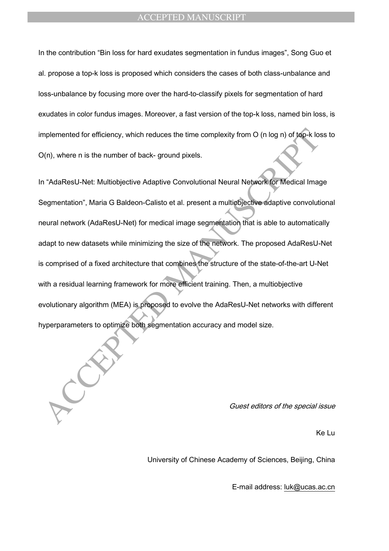In the contribution "Bin loss for hard exudates segmentation in fundus images", Song Guo et al. propose a top-k loss is proposed which considers the cases of both class-unbalance and loss-unbalance by focusing more over the hard-to-classify pixels for segmentation of hard exudates in color fundus images. Moreover, a fast version of the top-k loss, named bin loss, is implemented for efficiency, which reduces the time complexity from O (n log n) of top-k loss to O(n), where n is the number of back- ground pixels.

mplemented for efficiency, which reduces the time complexity from O (n log n) of tap-k lot<br>
Acception (n), where n is the number of back- ground pixels.<br>
The matched Manuscript Convolutional Neural Network for Medical Imag In "AdaResU-Net: Multiobjective Adaptive Convolutional Neural Network for Medical Image Segmentation", Maria G Baldeon-Calisto et al. present a multiobjective adaptive convolutional neural network (AdaResU-Net) for medical image segmentation that is able to automatically adapt to new datasets while minimizing the size of the network. The proposed AdaResU-Net is comprised of a fixed architecture that combines the structure of the state-of-the-art U-Net with a residual learning framework for more efficient training. Then, a multiobjective evolutionary algorithm (MEA) is proposed to evolve the AdaResU-Net networks with different hyperparameters to optimize both segmentation accuracy and model size.

Guest editors of the special issue

Ke Lu

University of Chinese Academy of Sciences, Beijing, China

E-mail address: luk@ucas.ac.cn